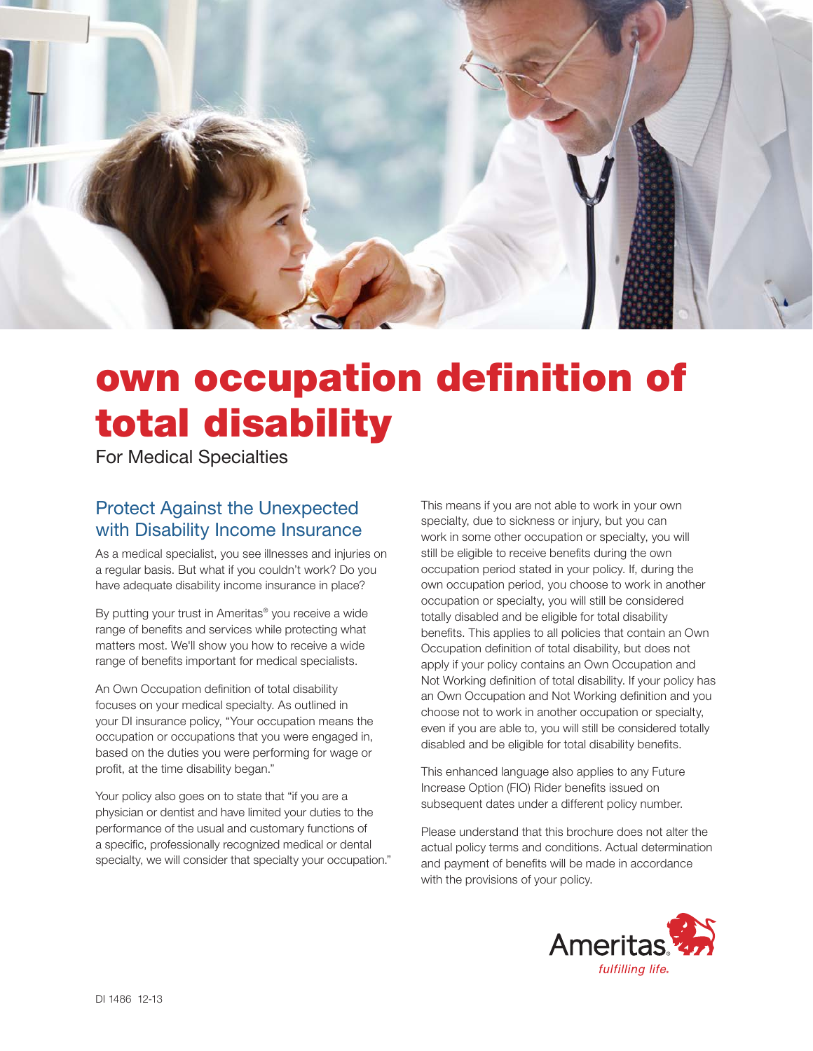

# own occupation definition of total disability

For Medical Specialties

## Protect Against the Unexpected with Disability Income Insurance

As a medical specialist, you see illnesses and injuries on a regular basis. But what if you couldn't work? Do you have adequate disability income insurance in place?

By putting your trust in Ameritas® you receive a wide range of benefits and services while protecting what matters most. We'll show you how to receive a wide range of benefits important for medical specialists.

An Own Occupation definition of total disability focuses on your medical specialty. As outlined in your DI insurance policy, "Your occupation means the occupation or occupations that you were engaged in, based on the duties you were performing for wage or profit, at the time disability began."

Your policy also goes on to state that "if you are a physician or dentist and have limited your duties to the performance of the usual and customary functions of a specific, professionally recognized medical or dental specialty, we will consider that specialty your occupation."

This means if you are not able to work in your own specialty, due to sickness or injury, but you can work in some other occupation or specialty, you will still be eligible to receive benefits during the own occupation period stated in your policy. If, during the own occupation period, you choose to work in another occupation or specialty, you will still be considered totally disabled and be eligible for total disability benefits. This applies to all policies that contain an Own Occupation definition of total disability, but does not apply if your policy contains an Own Occupation and Not Working definition of total disability. If your policy has an Own Occupation and Not Working definition and you choose not to work in another occupation or specialty, even if you are able to, you will still be considered totally disabled and be eligible for total disability benefits.

This enhanced language also applies to any Future Increase Option (FIO) Rider benefits issued on subsequent dates under a different policy number.

Please understand that this brochure does not alter the actual policy terms and conditions. Actual determination and payment of benefits will be made in accordance with the provisions of your policy.